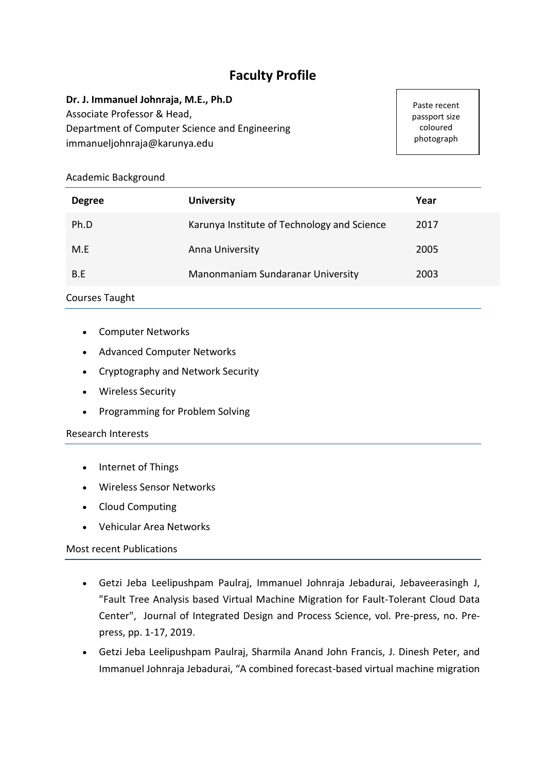# **Faculty Profile**

#### **Dr. J. Immanuel Johnraja, M.E., Ph.D**

Associate Professor & Head, Department of Computer Science and Engineering immanueljohnraja@karunya.edu

Paste recent passport size coloured photograph

### Academic Background

| <b>Degree</b> | <b>University</b>                           | Year |
|---------------|---------------------------------------------|------|
| Ph.D          | Karunya Institute of Technology and Science | 2017 |
| M.E           | Anna University                             | 2005 |
| B.E           | Manonmaniam Sundaranar University           | 2003 |

## Courses Taught

- Computer Networks
- Advanced Computer Networks
- Cryptography and Network Security
- Wireless Security
- Programming for Problem Solving

#### Research Interests

- Internet of Things
- Wireless Sensor Networks
- Cloud Computing
- Vehicular Area Networks

#### Most recent Publications

- Getzi Jeba Leelipushpam Paulraj, Immanuel Johnraja Jebadurai, Jebaveerasingh J, "Fault Tree Analysis based Virtual Machine Migration for Fault-Tolerant Cloud Data Center", Journal of Integrated Design and Process Science, vol. Pre-press, no. Prepress, pp. 1-17, 2019.
- Getzi Jeba Leelipushpam Paulraj, Sharmila Anand John Francis, J. Dinesh Peter, and Immanuel Johnraja Jebadurai, "A combined forecast-based virtual machine migration